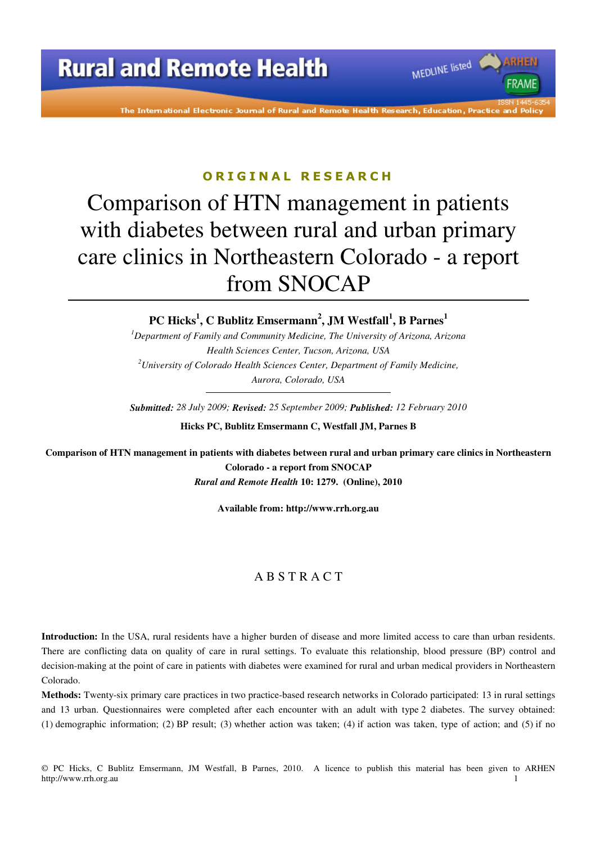The International Electronic Journal of Rural and Remote Health Research, Education, Practice

MEDLINE listed

**FRAMF** 

### ORIGINAL RESEARCH

# Comparison of HTN management in patients with diabetes between rural and urban primary care clinics in Northeastern Colorado - a report from SNOCAP

**PC Hicks<sup>1</sup> , C Bublitz Emsermann<sup>2</sup> , JM Westfall<sup>1</sup> , B Parnes<sup>1</sup>**

*<sup>1</sup>Department of Family and Community Medicine, The University of Arizona, Arizona Health Sciences Center, Tucson, Arizona, USA <sup>2</sup>University of Colorado Health Sciences Center, Department of Family Medicine, Aurora, Colorado, USA* 

*Submitted: 28 July 2009; Revised: 25 September 2009; Published: 12 February 2010*  **Hicks PC, Bublitz Emsermann C, Westfall JM, Parnes B** 

**Comparison of HTN management in patients with diabetes between rural and urban primary care clinics in Northeastern Colorado - a report from SNOCAP**  *Rural and Remote Health* **10: 1279. (Online), 2010** 

**Available from: http://www.rrh.org.au** 

#### A B S T R A C T

**Introduction:** In the USA, rural residents have a higher burden of disease and more limited access to care than urban residents. There are conflicting data on quality of care in rural settings. To evaluate this relationship, blood pressure (BP) control and decision-making at the point of care in patients with diabetes were examined for rural and urban medical providers in Northeastern Colorado.

**Methods:** Twenty-six primary care practices in two practice-based research networks in Colorado participated: 13 in rural settings and 13 urban. Questionnaires were completed after each encounter with an adult with type 2 diabetes. The survey obtained: (1) demographic information; (2) BP result; (3) whether action was taken; (4) if action was taken, type of action; and (5) if no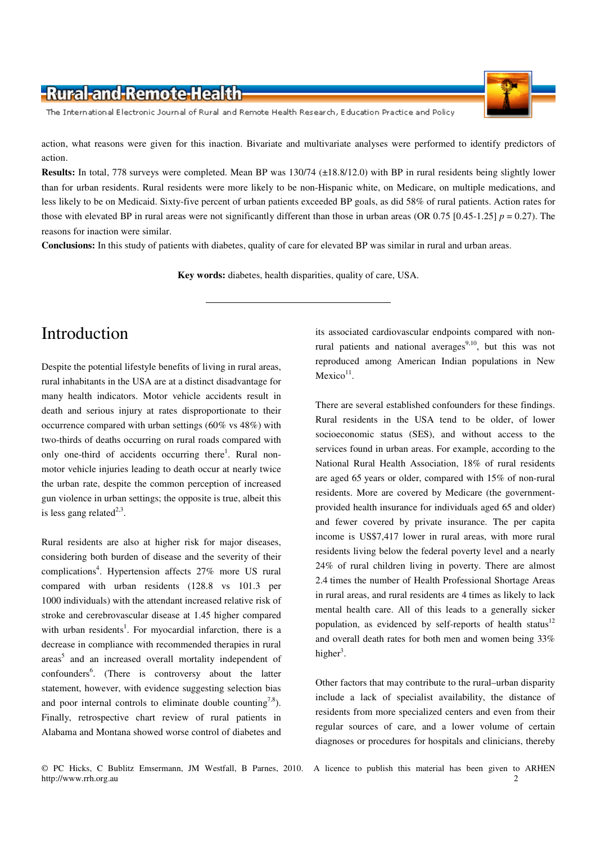The International Electronic Journal of Rural and Remote Health Research, Education Practice and Policy

action, what reasons were given for this inaction. Bivariate and multivariate analyses were performed to identify predictors of action.

**Results:** In total, 778 surveys were completed. Mean BP was 130/74 (±18.8/12.0) with BP in rural residents being slightly lower than for urban residents. Rural residents were more likely to be non-Hispanic white, on Medicare, on multiple medications, and less likely to be on Medicaid. Sixty-five percent of urban patients exceeded BP goals, as did 58% of rural patients. Action rates for those with elevated BP in rural areas were not significantly different than those in urban areas (OR  $0.75$  [ $0.45$ -1.25]  $p = 0.27$ ). The reasons for inaction were similar.

**Conclusions:** In this study of patients with diabetes, quality of care for elevated BP was similar in rural and urban areas.

**Key words:** diabetes, health disparities, quality of care, USA.

## Introduction

Despite the potential lifestyle benefits of living in rural areas, rural inhabitants in the USA are at a distinct disadvantage for many health indicators. Motor vehicle accidents result in death and serious injury at rates disproportionate to their occurrence compared with urban settings (60% vs 48%) with two-thirds of deaths occurring on rural roads compared with only one-third of accidents occurring there<sup>1</sup>. Rural nonmotor vehicle injuries leading to death occur at nearly twice the urban rate, despite the common perception of increased gun violence in urban settings; the opposite is true, albeit this is less gang related $2,3$ .

Rural residents are also at higher risk for major diseases, considering both burden of disease and the severity of their complications<sup>4</sup>. Hypertension affects 27% more US rural compared with urban residents (128.8 vs 101.3 per 1000 individuals) with the attendant increased relative risk of stroke and cerebrovascular disease at 1.45 higher compared with urban residents<sup>1</sup>. For myocardial infarction, there is a decrease in compliance with recommended therapies in rural areas<sup>5</sup> and an increased overall mortality independent of confounders<sup>6</sup>. (There is controversy about the latter statement, however, with evidence suggesting selection bias and poor internal controls to eliminate double counting<sup>7,8</sup>). Finally, retrospective chart review of rural patients in Alabama and Montana showed worse control of diabetes and

its associated cardiovascular endpoints compared with nonrural patients and national averages<sup>9,10</sup>, but this was not reproduced among American Indian populations in New  $Mexico<sup>11</sup>$ .

There are several established confounders for these findings. Rural residents in the USA tend to be older, of lower socioeconomic status (SES), and without access to the services found in urban areas. For example, according to the National Rural Health Association, 18% of rural residents are aged 65 years or older, compared with 15% of non-rural residents. More are covered by Medicare (the governmentprovided health insurance for individuals aged 65 and older) and fewer covered by private insurance. The per capita income is US\$7,417 lower in rural areas, with more rural residents living below the federal poverty level and a nearly 24% of rural children living in poverty. There are almost 2.4 times the number of Health Professional Shortage Areas in rural areas, and rural residents are 4 times as likely to lack mental health care. All of this leads to a generally sicker population, as evidenced by self-reports of health status<sup>12</sup> and overall death rates for both men and women being 33% higher<sup>3</sup>.

Other factors that may contribute to the rural–urban disparity include a lack of specialist availability, the distance of residents from more specialized centers and even from their regular sources of care, and a lower volume of certain diagnoses or procedures for hospitals and clinicians, thereby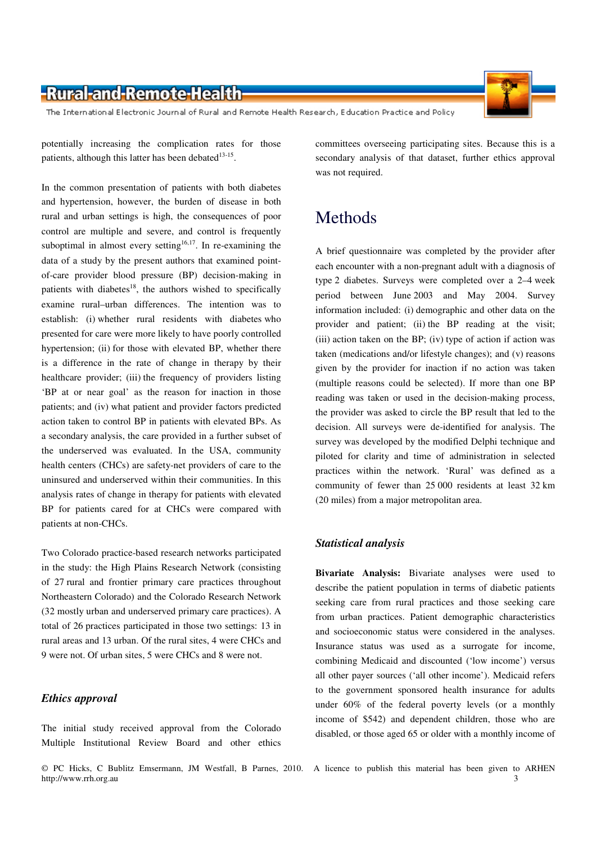The International Electronic Journal of Rural and Remote Health Research, Education Practice and Policy

potentially increasing the complication rates for those patients, although this latter has been debated $13-15$ .

In the common presentation of patients with both diabetes and hypertension, however, the burden of disease in both rural and urban settings is high, the consequences of poor control are multiple and severe, and control is frequently suboptimal in almost every setting<sup>16,17</sup>. In re-examining the data of a study by the present authors that examined pointof-care provider blood pressure (BP) decision-making in patients with diabetes<sup>18</sup>, the authors wished to specifically examine rural–urban differences. The intention was to establish: (i) whether rural residents with diabetes who presented for care were more likely to have poorly controlled hypertension; (ii) for those with elevated BP, whether there is a difference in the rate of change in therapy by their healthcare provider; (iii) the frequency of providers listing 'BP at or near goal' as the reason for inaction in those patients; and (iv) what patient and provider factors predicted action taken to control BP in patients with elevated BPs. As a secondary analysis, the care provided in a further subset of the underserved was evaluated. In the USA, community health centers (CHCs) are safety-net providers of care to the uninsured and underserved within their communities. In this analysis rates of change in therapy for patients with elevated BP for patients cared for at CHCs were compared with patients at non-CHCs.

Two Colorado practice-based research networks participated in the study: the High Plains Research Network (consisting of 27 rural and frontier primary care practices throughout Northeastern Colorado) and the Colorado Research Network (32 mostly urban and underserved primary care practices). A total of 26 practices participated in those two settings: 13 in rural areas and 13 urban. Of the rural sites, 4 were CHCs and 9 were not. Of urban sites, 5 were CHCs and 8 were not.

#### *Ethics approval*

The initial study received approval from the Colorado Multiple Institutional Review Board and other ethics committees overseeing participating sites. Because this is a secondary analysis of that dataset, further ethics approval was not required.

## Methods

A brief questionnaire was completed by the provider after each encounter with a non-pregnant adult with a diagnosis of type 2 diabetes. Surveys were completed over a 2–4 week period between June 2003 and May 2004. Survey information included: (i) demographic and other data on the provider and patient; (ii) the BP reading at the visit;  $(iii)$  action taken on the BP;  $(iv)$  type of action if action was taken (medications and/or lifestyle changes); and (v) reasons given by the provider for inaction if no action was taken (multiple reasons could be selected). If more than one BP reading was taken or used in the decision-making process, the provider was asked to circle the BP result that led to the decision. All surveys were de-identified for analysis. The survey was developed by the modified Delphi technique and piloted for clarity and time of administration in selected practices within the network. 'Rural' was defined as a community of fewer than 25 000 residents at least 32 km (20 miles) from a major metropolitan area.

#### *Statistical analysis*

**Bivariate Analysis:** Bivariate analyses were used to describe the patient population in terms of diabetic patients seeking care from rural practices and those seeking care from urban practices. Patient demographic characteristics and socioeconomic status were considered in the analyses. Insurance status was used as a surrogate for income, combining Medicaid and discounted ('low income') versus all other payer sources ('all other income'). Medicaid refers to the government sponsored health insurance for adults under 60% of the federal poverty levels (or a monthly income of \$542) and dependent children, those who are disabled, or those aged 65 or older with a monthly income of

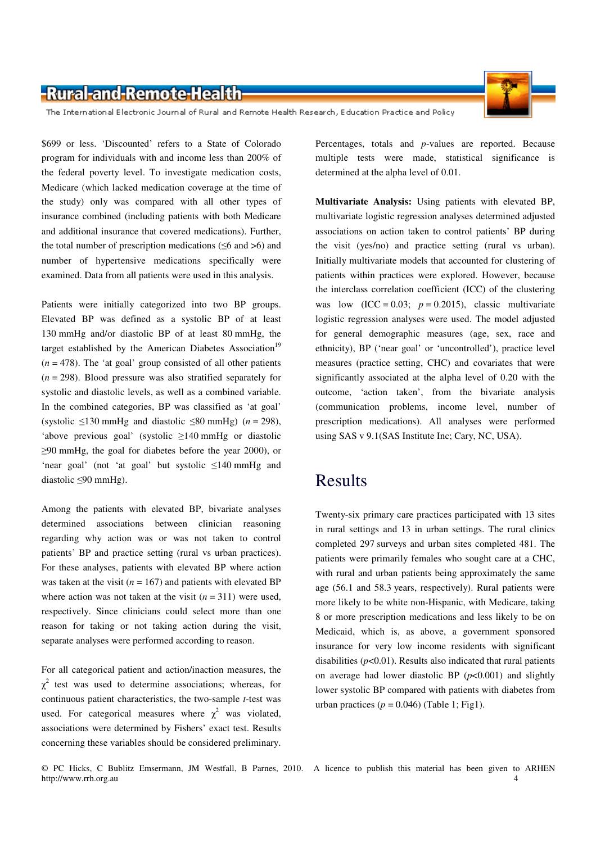

The International Electronic Journal of Rural and Remote Health Research, Education Practice and Policy

\$699 or less. 'Discounted' refers to a State of Colorado program for individuals with and income less than 200% of the federal poverty level. To investigate medication costs, Medicare (which lacked medication coverage at the time of the study) only was compared with all other types of insurance combined (including patients with both Medicare and additional insurance that covered medications). Further, the total number of prescription medications ( $\leq 6$  and  $> 6$ ) and number of hypertensive medications specifically were examined. Data from all patients were used in this analysis.

Patients were initially categorized into two BP groups. Elevated BP was defined as a systolic BP of at least 130 mmHg and/or diastolic BP of at least 80 mmHg, the target established by the American Diabetes Association<sup>19</sup>  $(n = 478)$ . The 'at goal' group consisted of all other patients  $(n = 298)$ . Blood pressure was also stratified separately for systolic and diastolic levels, as well as a combined variable. In the combined categories, BP was classified as 'at goal' (systolic  $\leq$ 130 mmHg and diastolic  $\leq$ 80 mmHg) (*n* = 298), 'above previous goal' (systolic ≥140 mmHg or diastolic ≥90 mmHg, the goal for diabetes before the year 2000), or 'near goal' (not 'at goal' but systolic ≤140 mmHg and diastolic ≤90 mmHg).

Among the patients with elevated BP, bivariate analyses determined associations between clinician reasoning regarding why action was or was not taken to control patients' BP and practice setting (rural vs urban practices). For these analyses, patients with elevated BP where action was taken at the visit ( $n = 167$ ) and patients with elevated BP where action was not taken at the visit  $(n = 311)$  were used, respectively. Since clinicians could select more than one reason for taking or not taking action during the visit, separate analyses were performed according to reason.

For all categorical patient and action/inaction measures, the  $\chi^2$  test was used to determine associations; whereas, for continuous patient characteristics, the two-sample *t*-test was used. For categorical measures where  $\chi^2$  was violated, associations were determined by Fishers' exact test. Results concerning these variables should be considered preliminary.

Percentages, totals and *p*-values are reported. Because multiple tests were made, statistical significance is determined at the alpha level of 0.01.

**Multivariate Analysis:** Using patients with elevated BP, multivariate logistic regression analyses determined adjusted associations on action taken to control patients' BP during the visit (yes/no) and practice setting (rural vs urban). Initially multivariate models that accounted for clustering of patients within practices were explored. However, because the interclass correlation coefficient (ICC) of the clustering was low  $(ICC = 0.03; p = 0.2015)$ , classic multivariate logistic regression analyses were used. The model adjusted for general demographic measures (age, sex, race and ethnicity), BP ('near goal' or 'uncontrolled'), practice level measures (practice setting, CHC) and covariates that were significantly associated at the alpha level of 0.20 with the outcome, 'action taken', from the bivariate analysis (communication problems, income level, number of prescription medications). All analyses were performed using SAS v 9.1(SAS Institute Inc; Cary, NC, USA).

## Results

Twenty-six primary care practices participated with 13 sites in rural settings and 13 in urban settings. The rural clinics completed 297 surveys and urban sites completed 481. The patients were primarily females who sought care at a CHC, with rural and urban patients being approximately the same age (56.1 and 58.3 years, respectively). Rural patients were more likely to be white non-Hispanic, with Medicare, taking 8 or more prescription medications and less likely to be on Medicaid, which is, as above, a government sponsored insurance for very low income residents with significant disabilities  $(p<0.01)$ . Results also indicated that rural patients on average had lower diastolic BP  $(p<0.001)$  and slightly lower systolic BP compared with patients with diabetes from urban practices  $(p = 0.046)$  (Table 1; Fig1).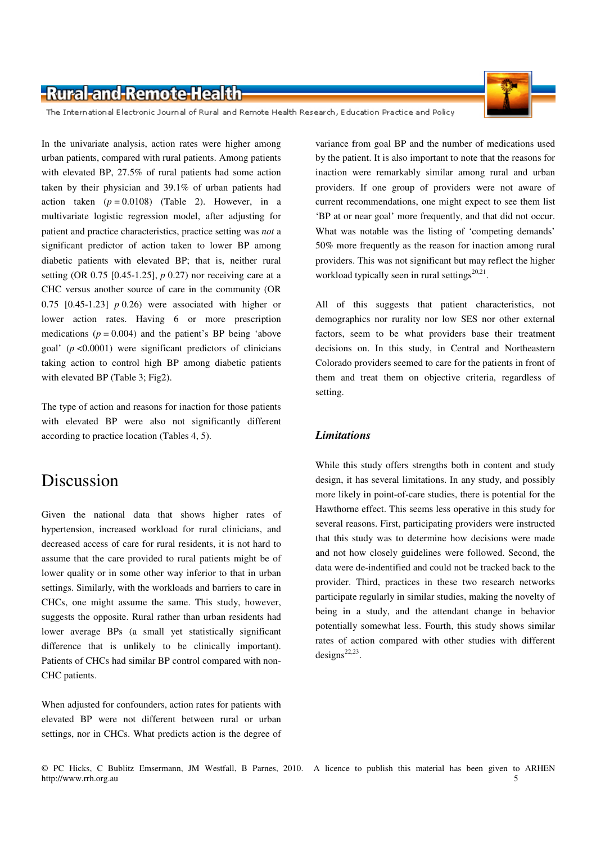

The International Electronic Journal of Rural and Remote Health Research, Education Practice and Policy

In the univariate analysis, action rates were higher among urban patients, compared with rural patients. Among patients with elevated BP, 27.5% of rural patients had some action taken by their physician and 39.1% of urban patients had action taken  $(p = 0.0108)$  (Table 2). However, in a multivariate logistic regression model, after adjusting for patient and practice characteristics, practice setting was *not* a significant predictor of action taken to lower BP among diabetic patients with elevated BP; that is, neither rural setting (OR 0.75 [0.45-1.25], *p* 0.27) nor receiving care at a CHC versus another source of care in the community (OR 0.75 [0.45-1.23] *p* 0.26) were associated with higher or lower action rates. Having 6 or more prescription medications  $(p = 0.004)$  and the patient's BP being 'above goal' (*p* <0.0001) were significant predictors of clinicians taking action to control high BP among diabetic patients with elevated BP (Table 3; Fig2).

The type of action and reasons for inaction for those patients with elevated BP were also not significantly different according to practice location (Tables 4, 5).

## Discussion

Given the national data that shows higher rates of hypertension, increased workload for rural clinicians, and decreased access of care for rural residents, it is not hard to assume that the care provided to rural patients might be of lower quality or in some other way inferior to that in urban settings. Similarly, with the workloads and barriers to care in CHCs, one might assume the same. This study, however, suggests the opposite. Rural rather than urban residents had lower average BPs (a small yet statistically significant difference that is unlikely to be clinically important). Patients of CHCs had similar BP control compared with non-CHC patients.

When adjusted for confounders, action rates for patients with elevated BP were not different between rural or urban settings, nor in CHCs. What predicts action is the degree of variance from goal BP and the number of medications used by the patient. It is also important to note that the reasons for inaction were remarkably similar among rural and urban providers. If one group of providers were not aware of current recommendations, one might expect to see them list 'BP at or near goal' more frequently, and that did not occur. What was notable was the listing of 'competing demands' 50% more frequently as the reason for inaction among rural providers. This was not significant but may reflect the higher workload typically seen in rural settings $20,21$ .

All of this suggests that patient characteristics, not demographics nor rurality nor low SES nor other external factors, seem to be what providers base their treatment decisions on. In this study, in Central and Northeastern Colorado providers seemed to care for the patients in front of them and treat them on objective criteria, regardless of setting.

#### *Limitations*

While this study offers strengths both in content and study design, it has several limitations. In any study, and possibly more likely in point-of-care studies, there is potential for the Hawthorne effect. This seems less operative in this study for several reasons. First, participating providers were instructed that this study was to determine how decisions were made and not how closely guidelines were followed. Second, the data were de-indentified and could not be tracked back to the provider. Third, practices in these two research networks participate regularly in similar studies, making the novelty of being in a study, and the attendant change in behavior potentially somewhat less. Fourth, this study shows similar rates of action compared with other studies with different  $designs<sup>22,23</sup>$ .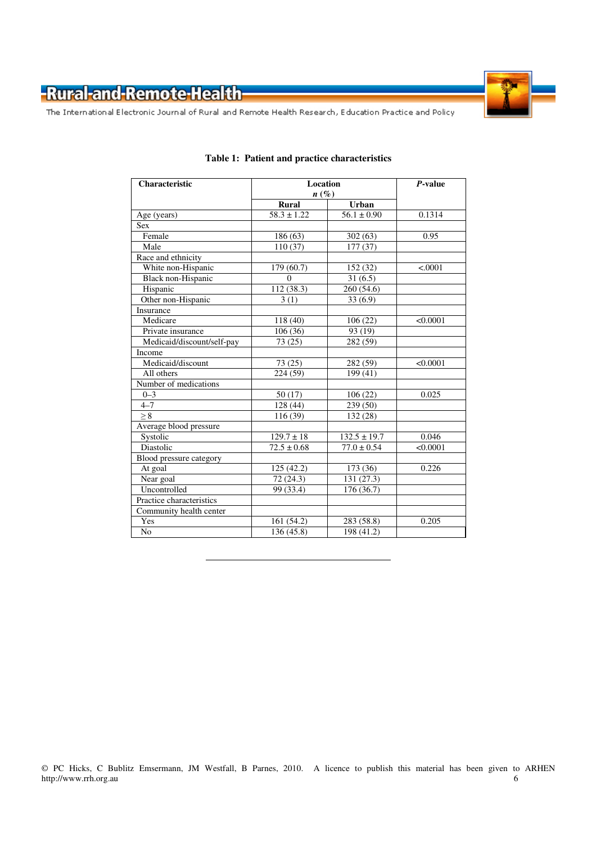

The International Electronic Journal of Rural and Remote Health Research, Education Practice and Policy

| <b>Characteristic</b>      | <b>Location</b>        | $P$ -value           |          |
|----------------------------|------------------------|----------------------|----------|
|                            | $n(\%)$                |                      |          |
|                            | <b>Rural</b>           | <b>Urban</b>         |          |
| Age (years)                | $58.3 \pm 1.22$        | $56.1 \pm 0.90$      | 0.1314   |
| <b>Sex</b>                 |                        |                      |          |
| Female                     | 186 (63)               | 302(63)              | 0.95     |
| Male                       | 110(37)                | $\overline{177(37)}$ |          |
| Race and ethnicity         |                        |                      |          |
| White non-Hispanic         | 179 (60.7)<br>152 (32) |                      | < .0001  |
| <b>Black non-Hispanic</b>  | $\Omega$               | 31(6.5)              |          |
| Hispanic                   | 112 (38.3)             | 260 (54.6)           |          |
| Other non-Hispanic         | 3(1)                   | 33(6.9)              |          |
| Insurance                  |                        |                      |          |
| Medicare                   | 118(40)                | 106(22)              | < 0.0001 |
| Private insurance          | 106(36)                | 93 (19)              |          |
| Medicaid/discount/self-pay | 73(25)                 | 282 (59)             |          |
| Income                     |                        |                      |          |
| Medicaid/discount          | 73(25)                 | 282 (59)             | < 0.0001 |
| All others                 | 224 (59)               | 199 (41)             |          |
| Number of medications      |                        |                      |          |
| $0 - 3$                    | 50(17)                 | 106(22)              | 0.025    |
| $4 - 7$                    | 128 (44)               | 239(50)              |          |
| $\geq 8$                   | 116(39)                | 132 (28)             |          |
| Average blood pressure     |                        |                      |          |
| Systolic                   | $129.7 \pm 18$         | $132.5 \pm 19.7$     | 0.046    |
| Diastolic                  | $72.5 \pm 0.68$        | $77.0 \pm 0.54$      | < 0.0001 |
| Blood pressure category    |                        |                      |          |
| At goal                    | 125(42.2)              | 173 (36)             | 0.226    |
| Near goal                  | 72 (24.3)              | 131 (27.3)           |          |
| Uncontrolled               | 99 (33.4)              | 176 (36.7)           |          |
| Practice characteristics   |                        |                      |          |
| Community health center    |                        |                      |          |
| Yes                        | 161(54.2)              | 283 (58.8)           | 0.205    |
| N <sub>o</sub>             | 136 (45.8)             | 198 (41.2)           |          |

#### **Table 1: Patient and practice characteristics**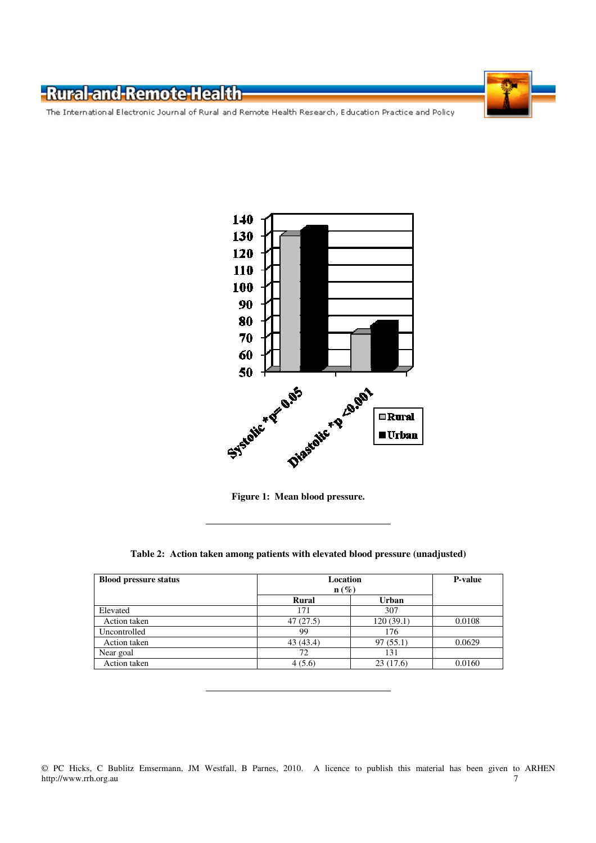The International Electronic Journal of Rural and Remote Health Research, Education Practice and Policy



**Figure 1: Mean blood pressure.** 

#### **Table 2: Action taken among patients with elevated blood pressure (unadjusted)**

| <b>Blood pressure status</b> | <b>Location</b><br>$\mathbf{n}(\%)$<br><b>Urban</b><br>Rural |           | <b>P-value</b> |
|------------------------------|--------------------------------------------------------------|-----------|----------------|
|                              |                                                              |           |                |
| Elevated                     | 171                                                          | 307       |                |
| Action taken                 | 47(27.5)                                                     | 120(39.1) | 0.0108         |
| Uncontrolled                 | 99                                                           | 176       |                |
| Action taken                 | 43 (43.4)                                                    | 97(55.1)  | 0.0629         |
| Near goal                    | 72                                                           | 131       |                |
| Action taken                 | 4(5.6)                                                       | 23(17.6)  | 0.0160         |

<sup>©</sup> PC Hicks, C Bublitz Emsermann, JM Westfall, B Parnes, 2010. A licence to publish this material has been given to ARHEN http://www.rrh.org.au 7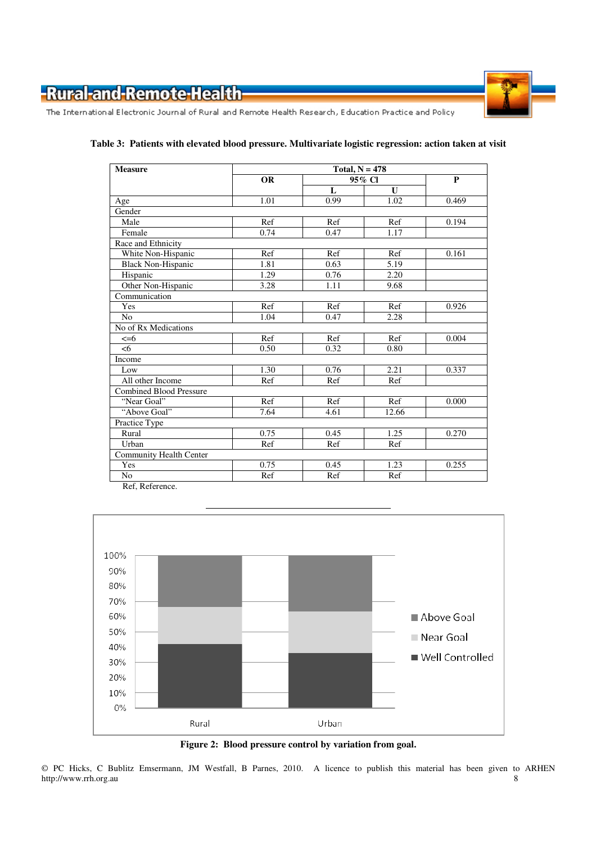

The International Electronic Journal of Rural and Remote Health Research, Education Practice and Policy

| <b>Measure</b>                 | Total, $N = 478$ |      |              |       |
|--------------------------------|------------------|------|--------------|-------|
|                                | <b>OR</b>        |      | 95% Cl       | P     |
|                                |                  | L    | $\mathbf{U}$ |       |
| Age                            | 1.01             | 0.99 | 1.02         | 0.469 |
| Gender                         |                  |      |              |       |
| Male                           | Ref              | Ref  | Ref          | 0.194 |
| Female                         | 0.74             | 0.47 | 1.17         |       |
| Race and Ethnicity             |                  |      |              |       |
| White Non-Hispanic             | Ref              | Ref  | Ref          | 0.161 |
| <b>Black Non-Hispanic</b>      | 1.81             | 0.63 | 5.19         |       |
| Hispanic                       | 1.29             | 0.76 | 2.20         |       |
| Other Non-Hispanic             | 3.28             | 1.11 | 9.68         |       |
| Communication                  |                  |      |              |       |
| Yes                            | Ref              | Ref  | Ref          | 0.926 |
| N <sub>o</sub>                 | 1.04             | 0.47 | 2.28         |       |
| No of Rx Medications           |                  |      |              |       |
| $\leq=6$                       | Ref              | Ref  | Ref          | 0.004 |
| <6                             | 0.50             | 0.32 | 0.80         |       |
| Income                         |                  |      |              |       |
| Low                            | 1.30             | 0.76 | 2.21         | 0.337 |
| All other Income               | Ref              | Ref  | Ref          |       |
| <b>Combined Blood Pressure</b> |                  |      |              |       |
| "Near Goal"                    | Ref              | Ref  | Ref          | 0.000 |
| "Above Goal"                   | 7.64             | 4.61 | 12.66        |       |
| Practice Type                  |                  |      |              |       |
| Rural                          | 0.75             | 0.45 | 1.25         | 0.270 |
| Urban                          | Ref              | Ref  | Ref          |       |
| <b>Community Health Center</b> |                  |      |              |       |
| Yes                            | 0.75             | 0.45 | 1.23         | 0.255 |
| No.                            | Ref              | Ref  | Ref          |       |

#### **Table 3: Patients with elevated blood pressure. Multivariate logistic regression: action taken at visit**

Ref, Reference.



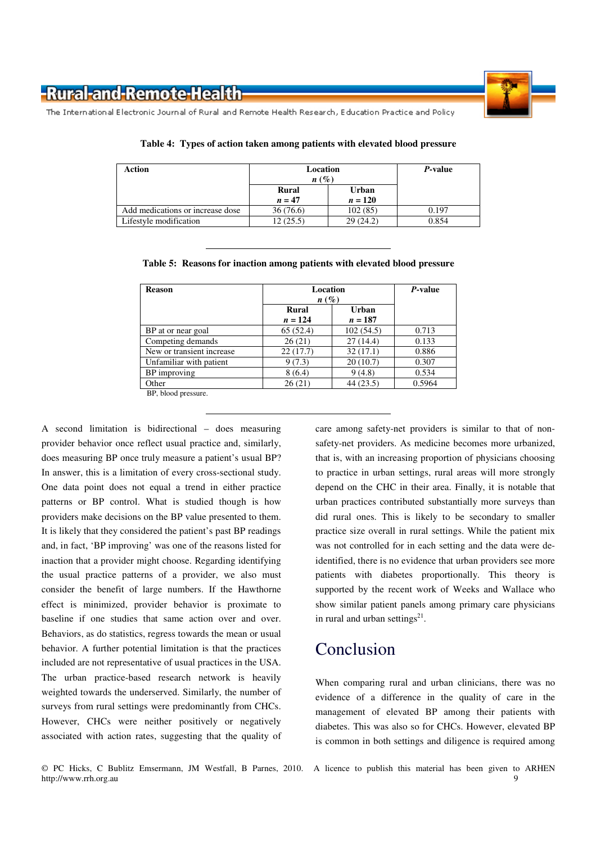

The International Electronic Journal of Rural and Remote Health Research, Education Practice and Policy

| Action                           | Location<br>$n\left(\%\right)$ |                           | <i>P</i> -value |
|----------------------------------|--------------------------------|---------------------------|-----------------|
|                                  | <b>Rural</b><br>$n=47$         | <b>Urban</b><br>$n = 120$ |                 |
| Add medications or increase dose | 36(76.6)                       | 102(85)                   | 0.197           |
| Lifestyle modification           | 12 (25.5)                      | 29(24.2)                  | 0.854           |

**Table 4: Types of action taken among patients with elevated blood pressure** 

|  |  |  |  |  | Table 5: Reasons for inaction among patients with elevated blood pressure |
|--|--|--|--|--|---------------------------------------------------------------------------|
|--|--|--|--|--|---------------------------------------------------------------------------|

| <b>Reason</b>             | Location<br>$n(\%)$ | P-value            |        |
|---------------------------|---------------------|--------------------|--------|
|                           | Rural<br>$n = 124$  | Urban<br>$n = 187$ |        |
| BP at or near goal        | 65(52.4)            | 102(54.5)          | 0.713  |
| Competing demands         | 26(21)              | 27(14.4)           | 0.133  |
| New or transient increase | 22(17.7)            | 32(17.1)           | 0.886  |
| Unfamiliar with patient   | 9(7.3)              | 20(10.7)           | 0.307  |
| BP improving              | 8(6.4)              | 9(4.8)             | 0.534  |
| Other                     | 26(21)              | 44(23.5)           | 0.5964 |

BP, blood pressure.

A second limitation is bidirectional – does measuring provider behavior once reflect usual practice and, similarly, does measuring BP once truly measure a patient's usual BP? In answer, this is a limitation of every cross-sectional study. One data point does not equal a trend in either practice patterns or BP control. What is studied though is how providers make decisions on the BP value presented to them. It is likely that they considered the patient's past BP readings and, in fact, 'BP improving' was one of the reasons listed for inaction that a provider might choose. Regarding identifying the usual practice patterns of a provider, we also must consider the benefit of large numbers. If the Hawthorne effect is minimized, provider behavior is proximate to baseline if one studies that same action over and over. Behaviors, as do statistics, regress towards the mean or usual behavior. A further potential limitation is that the practices included are not representative of usual practices in the USA. The urban practice-based research network is heavily weighted towards the underserved. Similarly, the number of surveys from rural settings were predominantly from CHCs. However, CHCs were neither positively or negatively associated with action rates, suggesting that the quality of care among safety-net providers is similar to that of nonsafety-net providers. As medicine becomes more urbanized, that is, with an increasing proportion of physicians choosing to practice in urban settings, rural areas will more strongly depend on the CHC in their area. Finally, it is notable that urban practices contributed substantially more surveys than did rural ones. This is likely to be secondary to smaller practice size overall in rural settings. While the patient mix was not controlled for in each setting and the data were deidentified, there is no evidence that urban providers see more patients with diabetes proportionally. This theory is supported by the recent work of Weeks and Wallace who show similar patient panels among primary care physicians in rural and urban settings $21$ .

## Conclusion

When comparing rural and urban clinicians, there was no evidence of a difference in the quality of care in the management of elevated BP among their patients with diabetes. This was also so for CHCs. However, elevated BP is common in both settings and diligence is required among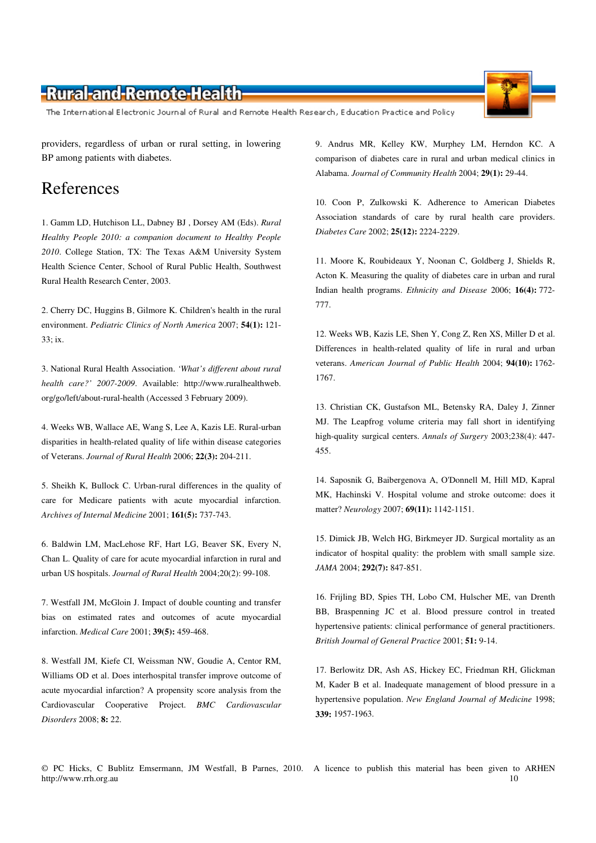The International Electronic Journal of Rural and Remote Health Research, Education Practice and Policy

providers, regardless of urban or rural setting, in lowering BP among patients with diabetes.

### References

1. Gamm LD, Hutchison LL, Dabney BJ , Dorsey AM (Eds). *Rural Healthy People 2010: a companion document to Healthy People 2010*. College Station, TX: The Texas A&M University System Health Science Center, School of Rural Public Health, Southwest Rural Health Research Center, 2003.

2. Cherry DC, Huggins B, Gilmore K. Children's health in the rural environment. *Pediatric Clinics of North America* 2007; **54(1):** 121- 33; ix.

3. National Rural Health Association. *'What's different about rural health care?' 2007-2009*. Available: http://www.ruralhealthweb. org/go/left/about-rural-health (Accessed 3 February 2009).

4. Weeks WB, Wallace AE, Wang S, Lee A, Kazis LE. Rural-urban disparities in health-related quality of life within disease categories of Veterans. *Journal of Rural Health* 2006; **22(3):** 204-211.

5. Sheikh K, Bullock C. Urban-rural differences in the quality of care for Medicare patients with acute myocardial infarction. *Archives of Internal Medicine* 2001; **161(5):** 737-743.

6. Baldwin LM, MacLehose RF, Hart LG, Beaver SK, Every N, Chan L. Quality of care for acute myocardial infarction in rural and urban US hospitals. *Journal of Rural Health* 2004;20(2): 99-108.

7. Westfall JM, McGloin J. Impact of double counting and transfer bias on estimated rates and outcomes of acute myocardial infarction. *Medical Care* 2001; **39(5):** 459-468.

8. Westfall JM, Kiefe CI, Weissman NW, Goudie A, Centor RM, Williams OD et al. Does interhospital transfer improve outcome of acute myocardial infarction? A propensity score analysis from the Cardiovascular Cooperative Project. *BMC Cardiovascular Disorders* 2008; **8:** 22.

9. Andrus MR, Kelley KW, Murphey LM, Herndon KC. A comparison of diabetes care in rural and urban medical clinics in Alabama. *Journal of Community Health* 2004; **29(1):** 29-44.

10. Coon P, Zulkowski K. Adherence to American Diabetes Association standards of care by rural health care providers. *Diabetes Care* 2002; **25(12):** 2224-2229.

11. Moore K, Roubideaux Y, Noonan C, Goldberg J, Shields R, Acton K. Measuring the quality of diabetes care in urban and rural Indian health programs. *Ethnicity and Disease* 2006; **16(4):** 772- 777.

12. Weeks WB, Kazis LE, Shen Y, Cong Z, Ren XS, Miller D et al. Differences in health-related quality of life in rural and urban veterans. *American Journal of Public Health* 2004; **94(10):** 1762- 1767.

13. Christian CK, Gustafson ML, Betensky RA, Daley J, Zinner MJ. The Leapfrog volume criteria may fall short in identifying high-quality surgical centers. *Annals of Surgery* 2003;238(4): 447- 455.

14. Saposnik G, Baibergenova A, O'Donnell M, Hill MD, Kapral MK, Hachinski V. Hospital volume and stroke outcome: does it matter? *Neurology* 2007; **69(11):** 1142-1151.

15. Dimick JB, Welch HG, Birkmeyer JD. Surgical mortality as an indicator of hospital quality: the problem with small sample size. *JAMA* 2004; **292(7):** 847-851.

16. Frijling BD, Spies TH, Lobo CM, Hulscher ME, van Drenth BB, Braspenning JC et al. Blood pressure control in treated hypertensive patients: clinical performance of general practitioners. *British Journal of General Practice* 2001; **51:** 9-14.

17. Berlowitz DR, Ash AS, Hickey EC, Friedman RH, Glickman M, Kader B et al. Inadequate management of blood pressure in a hypertensive population. *New England Journal of Medicine* 1998; **339:** 1957-1963.